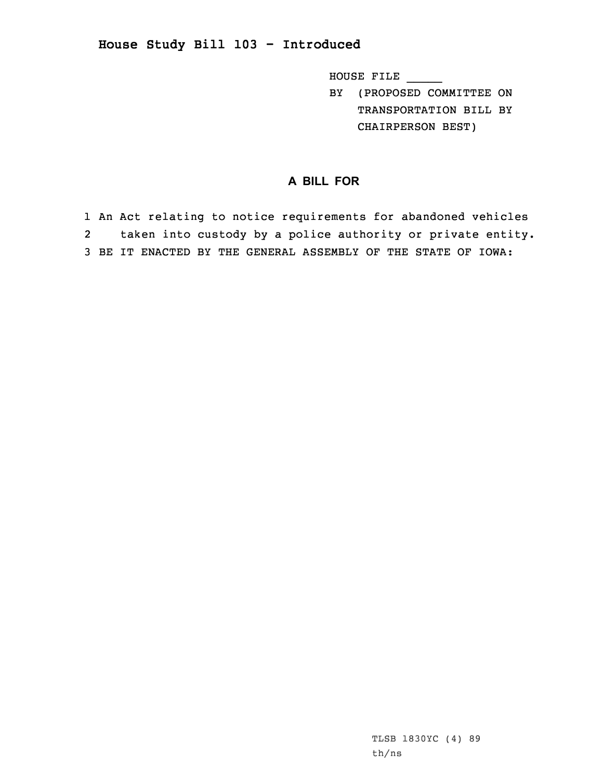## **House Study Bill 103 - Introduced**

HOUSE FILE \_\_\_\_\_

BY (PROPOSED COMMITTEE ON TRANSPORTATION BILL BY CHAIRPERSON BEST)

## **A BILL FOR**

1 An Act relating to notice requirements for abandoned vehicles 2 taken into custody by <sup>a</sup> police authority or private entity. 3 BE IT ENACTED BY THE GENERAL ASSEMBLY OF THE STATE OF IOWA: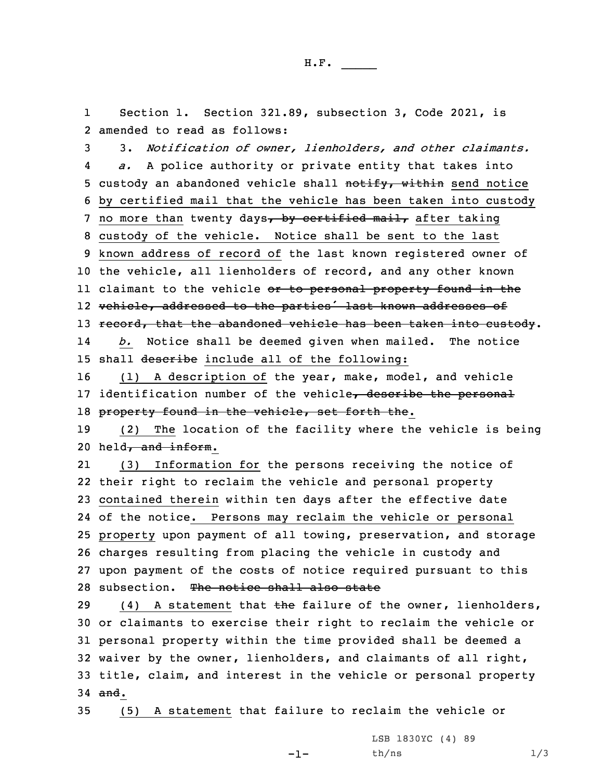1 Section 1. Section 321.89, subsection 3, Code 2021, is 2 amended to read as follows:

3 3. *Notification of owner, lienholders, and other claimants.* 4 *a.* <sup>A</sup> police authority or private entity that takes into 5 custody an abandoned vehicle shall notify, within send notice 6 by certified mail that the vehicle has been taken into custody 7 no more than twenty days, by certified mail, after taking 8 custody of the vehicle. Notice shall be sent to the last 9 known address of record of the last known registered owner of 10 the vehicle, all lienholders of record, and any other known ll claimant to the vehicle <del>or to personal property found in th</del>e 12 vehicle, addressed to the parties' last known addresses of 13 record, that the abandoned vehicle has been taken into custody. 14 *b.* Notice shall be deemed given when mailed. The notice 15 shall describe include all of the following:

16 (1) <sup>A</sup> description of the year, make, model, and vehicle 17 identification number of the vehicle, describe the personal 18 property found in the vehicle, set forth the.

19 (2) The location of the facility where the vehicle is being 20 held, and inform.

21 (3) Information for the persons receiving the notice of their right to reclaim the vehicle and personal property contained therein within ten days after the effective date of the notice. Persons may reclaim the vehicle or personal property upon payment of all towing, preservation, and storage charges resulting from placing the vehicle in custody and upon payment of the costs of notice required pursuant to this 28 subsection. The notice shall also state

29 (4) A statement that  $\frac{1}{2}$  the failure of the owner, lienholders, or claimants to exercise their right to reclaim the vehicle or personal property within the time provided shall be deemed <sup>a</sup> waiver by the owner, lienholders, and claimants of all right, title, claim, and interest in the vehicle or personal property 34 and.

35 (5) <sup>A</sup> statement that failure to reclaim the vehicle or

-1-

LSB 1830YC (4) 89  $th/ns$   $1/3$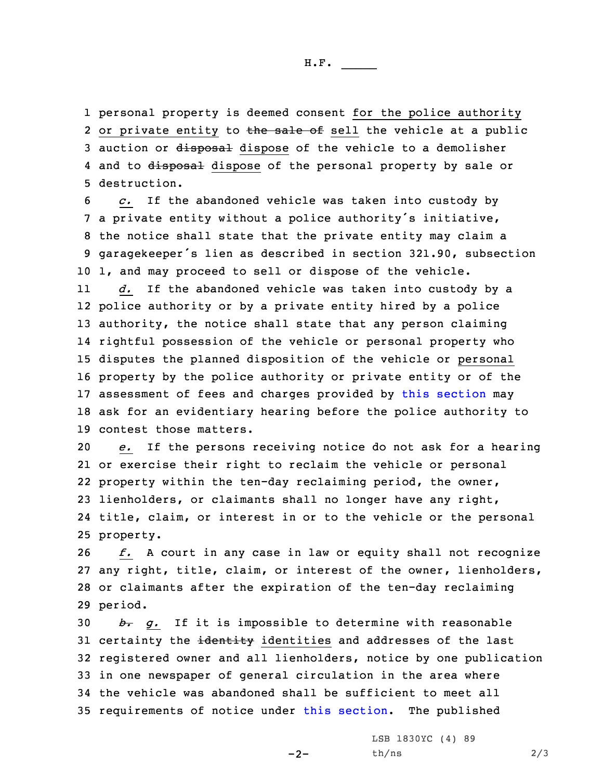H.F. \_\_\_\_\_

1 personal property is deemed consent for the police authority 2 or private entity to the sale of sell the vehicle at a public 3 auction or disposal dispose of the vehicle to a demolisher 4 and to <del>disposal</del> dispose of the personal property by sale or 5 destruction.

 *c.* If the abandoned vehicle was taken into custody by <sup>a</sup> private entity without <sup>a</sup> police authority's initiative, the notice shall state that the private entity may claim <sup>a</sup> garagekeeper's lien as described in section 321.90, subsection 1, and may proceed to sell or dispose of the vehicle.

11 *d.* If the abandoned vehicle was taken into custody by <sup>a</sup> police authority or by <sup>a</sup> private entity hired by <sup>a</sup> police authority, the notice shall state that any person claiming rightful possession of the vehicle or personal property who disputes the planned disposition of the vehicle or personal property by the police authority or private entity or of the assessment of fees and charges provided by this [section](https://www.legis.iowa.gov/docs/code/2021/321.89.pdf) may ask for an evidentiary hearing before the police authority to contest those matters.

 *e.* If the persons receiving notice do not ask for <sup>a</sup> hearing or exercise their right to reclaim the vehicle or personal property within the ten-day reclaiming period, the owner, lienholders, or claimants shall no longer have any right, title, claim, or interest in or to the vehicle or the personal property.

 *f.* <sup>A</sup> court in any case in law or equity shall not recognize any right, title, claim, or interest of the owner, lienholders, or claimants after the expiration of the ten-day reclaiming 29 period.

 *b. g.* If it is impossible to determine with reasonable 31 certainty the identity identities and addresses of the last registered owner and all lienholders, notice by one publication in one newspaper of general circulation in the area where the vehicle was abandoned shall be sufficient to meet all requirements of notice under this [section](https://www.legis.iowa.gov/docs/code/2021/321.89.pdf). The published

 $-2-$ 

LSB 1830YC (4) 89  $th/ns$  2/3